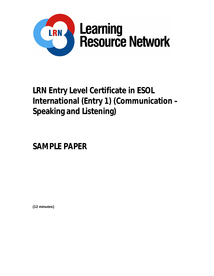

# **LRN Entry Level Certificate in ESOL International (Entry 1) (Communication – Speaking and Listening)**

**SAMPLE PAPER**

**(12 minutes)**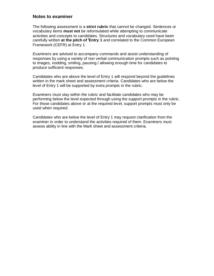### **Notes to examiner**

The following assessment is a **strict rubric** that cannot be changed. Sentences or vocabulary items **must not** be reformulated while attempting to communicate activities and concepts to candidates. Structures and vocabulary used have been carefully written **at the pitch of <sup>i</sup>Entry 1** and correlated to the Common European Framework (CEFR) at Entry 1.

Examiners are advised to accompany commands and assist understanding of responses by using a variety of non verbal communication prompts such as pointing to images, nodding, smiling, pausing / allowing enough time for candidates to produce sufficient responses.

Candidates who are above the level of Entry 1 will respond beyond the guidelines written in the mark sheet and assessment criteria. Candidates who are below the level of Entry 1 will be supported by extra prompts in the rubric.

Examiners must stay within the rubric and facilitate candidates who may be performing below the level expected through using the support prompts in the rubric. For those candidates above or at the required level, support prompts must only be used when required.

Candidates who are below the level of Entry 1 may request clarification from the examiner in order to understand the activities required of them. Examiners must assess ability in line with the Mark sheet and assessment criteria.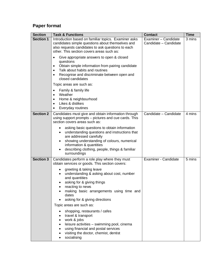## **Paper format**

| <b>Section</b>   | <b>Task &amp; Functions</b>                                                                                                                                                                                                                                                                                                                                                                                                                                                                                                                                                             | <b>Contact</b>                                | <b>Time</b> |
|------------------|-----------------------------------------------------------------------------------------------------------------------------------------------------------------------------------------------------------------------------------------------------------------------------------------------------------------------------------------------------------------------------------------------------------------------------------------------------------------------------------------------------------------------------------------------------------------------------------------|-----------------------------------------------|-------------|
| <b>Section 1</b> | Introduction based on familiar topics. Examiner asks<br>candidates simple questions about themselves and<br>also requests candidates to ask questions to each<br>other. This section covers areas such as:                                                                                                                                                                                                                                                                                                                                                                              | Examiner - Candidate<br>Candidate - Candidate | 3 mins      |
|                  | Give appropriate answers to open & closed<br>$\bullet$<br>questions<br>Obtain simple information from pairing candidate<br>$\bullet$<br>Talk about habits and routines<br>$\bullet$<br>Recognise and discriminate between open and<br>$\bullet$<br>closed candidates                                                                                                                                                                                                                                                                                                                    |                                               |             |
|                  | Topic areas are such as:<br>Family & family life<br>٠<br>Weather<br>$\bullet$<br>Home & neighbourhood<br>٠<br>Likes & dislikes<br>$\bullet$<br>Everyday routines<br>٠                                                                                                                                                                                                                                                                                                                                                                                                                   |                                               |             |
| <b>Section 2</b> | Candidates must give and obtain information through<br>using support prompts – pictures and cue cards. This<br>section covers areas such as:                                                                                                                                                                                                                                                                                                                                                                                                                                            | Candidate - Candidate                         | 4 mins      |
|                  | asking basic questions to obtain information<br>understanding questions and instructions that<br>are addressed carefully<br>showing understanding of colours, numerical<br>information & quantities<br>describing clothing, people, things & familiar<br>surroundings                                                                                                                                                                                                                                                                                                                   |                                               |             |
| <b>Section 3</b> | Candidates perform a role play where they must<br>obtain services or goods. This section covers:<br>greeting & taking leave<br>understanding & asking about cost, number<br>and quantities<br>asking for & giving things<br>reacting to news<br>making basic arrangements using time and<br>dates<br>asking for & giving directions<br>Topic areas are such as:<br>shopping, restaurants / cafes<br>travel & transport<br>work & jobs<br>leisure activities - swimming pool, cinema<br>using financial and postal services<br>visiting the doctor, chemist, dentist<br>socialising<br>٠ | Examiner - Candidate                          | 5 mins      |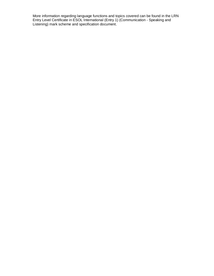More information regarding language functions and topics covered can be found in the LRN Entry Level Certificate in ESOL International (Entry 1) (Communication - Speaking and Listening) mark scheme and specification document.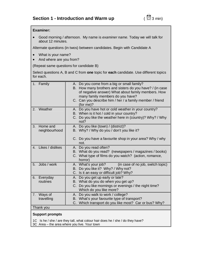#### **Examiner:**

 Good morning / afternoon. My name is *examiner name.* Today we will talk for about 12 minutes.

Alternate questions (in twos) between candidates. Begin with Candidate A

- What is your name?
- And where are you from?

(Repeat same questions for candidate B)

Select questions A, B and C from **one** topic for **each** candidate. Use different topics for each.

| Family<br>1.                       | A. Do you come from a big or small family?<br>B. How many brothers and sisters do you have? / (in case<br>of negative answer) What about family members. How<br>many family members do you have?<br>C. Can you describe him / her / a family member / friend<br>(for me)? |  |  |
|------------------------------------|---------------------------------------------------------------------------------------------------------------------------------------------------------------------------------------------------------------------------------------------------------------------------|--|--|
| Weather<br>2.                      | A. Do you have hot or cold weather in your country?<br>B. When is it hot / cold in your country?<br>C. Do you like the weather here in (country)? Why? / Why<br>not?                                                                                                      |  |  |
| Home and<br>3.<br>neighbourhood    | A. Do you like (town) / (district)?<br>B. Why? / Why do you / don't you like it?<br>C. Do you have a favourite shop in your area? Why / why<br>not.                                                                                                                       |  |  |
| Likes / dislikes<br>4 <sub>1</sub> | A. Do you read often?<br>B. What do you read? (newspapers / magazines / books)<br>C. What type of films do you watch? (action, romance,<br>horror)                                                                                                                        |  |  |
| Jobs / work<br>5.                  | A. What's your job?<br>(in case of no job, switch topic)<br>Do you like it? Why? / Why not?<br>В.<br>C. Is it an easy or difficult job? Why?                                                                                                                              |  |  |
| Everyday<br>6.<br>routines         | A. Do you get up early or late?<br>B. What do you do when you get up?<br>Do you like mornings or evenings / the night time?<br>C.<br>Which do you like more?                                                                                                              |  |  |
| Ways of<br>7.<br>travelling        | Do you walk to work / college?<br>А.<br>B. What's your favourite type of transport?<br>C. Which transport do you like most? Car or bus? Why?                                                                                                                              |  |  |
| Thank you                          |                                                                                                                                                                                                                                                                           |  |  |
| <b>Support prompts</b>             |                                                                                                                                                                                                                                                                           |  |  |

1C Is he / she / are they tall, what colour hair does he / she / do they have? 3C Area – the area where you live. Your town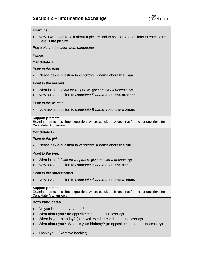#### **Examiner:**

 Now, I want you to talk about a picture and to ask some questions to each other. Here is the picture.

*Place picture between both candidates.* 

*Pause.*

#### **Candidate A:**

*Point to the man.*

Please ask a question to *candidate B name* about **the man.**

*Point to the present.*

- What is this? *(wait for response, give answer if necessary)*
- Now ask a question to *candidate B name* about **the present**.

*Point to the woman.*

Now ask a question to *candidate B name* about **the woman**.

#### **Support prompts**

Examiner formulates simple questions where candidate A does not form clear questions for Candidate B to answer

#### **Candidate B:**

*Point to the girl.* 

Please ask a question to *candidate A name* about **the girl.**

P*oint to the tree.*

- What is this? *(wait for response, give answer if necessary)*
- Now ask a question to *candidate A name* about **the tree.**

*Point to the other woman.*

Now ask a question to *candidate A name* about **the woman.**

#### **Support prompts**

Examiner formulates simple questions where candidate B does not form clear questions for Candidate A to answer.

#### **Both candidates**

- Do you like birthday parties?
- What about you? (to opposite candidate if necessary)
- When is your birthday? (start with weaker candidate if necessary)
- What about you? When is your birthday? (to opposite candidate if necessary)
- Thank you. (Remove booklet)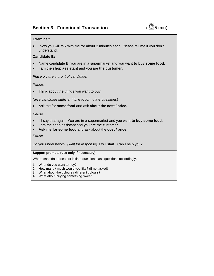### **Section 3 - Functional Transaction** *CO***<sub>5</sub>** min)

#### **Examiner:**

• Now you will talk with me for about 2 minutes each. Please tell me if you don't understand.

#### **Candidate B:**

- Name candidate B, you are in a supermarket and you want **to buy some food.**
- I am the **shop assistant** and you are **the customer.**

*Place picture in front of candidate.*

*Pause.*

Think about the things you want to buy.

*(give candidate sufficient time to formulate questions)*

Ask me for **some food** and ask **about the cost / price.**

#### *Pause*

- I'll say that again. You are in a supermarket and you want **to buy some food**.
- I am the shop assistant and you are the customer.
- **Ask me for some food** and ask about the **cost / price**.

*Pause.*

Do you understand? *(wait for response).* I will start. Can I help you?

#### **Support prompts (use only if necessary)**

Where candidate does not initiate questions, ask questions accordingly.

- 1. What do you want to buy?
- 2. How many / much would you like? (if not asked)
- 3. What about the colours / different colours?
- 4. What about buying something sweet